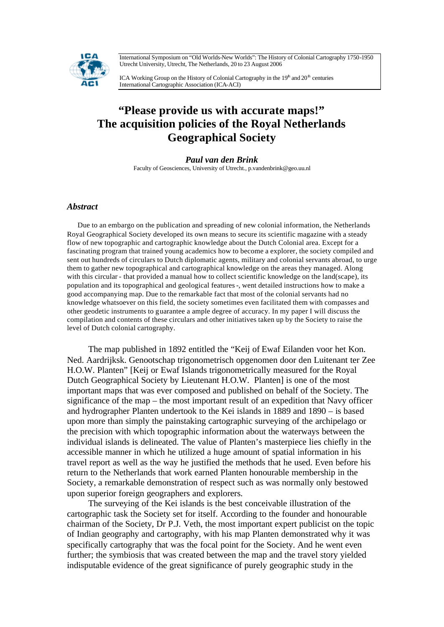International Symposium on "Old Worlds-New Worlds": The History of Colonial Cartography 1750-1950 Utrecht University, Utrecht, The Netherlands, 20 to 23 August 2006



ICA Working Group on the History of Colonial Cartography in the  $19<sup>th</sup>$  and  $20<sup>th</sup>$  centuries International Cartographic Association (ICA-ACI)

## **"Please provide us with accurate maps!" The acquisition policies of the Royal Netherlands Geographical Society**

*Paul van den Brink* Faculty of Geosciences, University of Utrecht., p.vandenbrink@geo.uu.nl

## *Abstract*

Due to an embargo on the publication and spreading of new colonial information, the Netherlands Royal Geographical Society developed its own means to secure its scientific magazine with a steady flow of new topographic and cartographic knowledge about the Dutch Colonial area. Except for a fascinating program that trained young academics how to become a explorer, the society compiled and sent out hundreds of circulars to Dutch diplomatic agents, military and colonial servants abroad, to urge them to gather new topographical and cartographical knowledge on the areas they managed. Along with this circular - that provided a manual how to collect scientific knowledge on the land(scape), its population and its topographical and geological features -, went detailed instructions how to make a good accompanying map. Due to the remarkable fact that most of the colonial servants had no knowledge whatsoever on this field, the society sometimes even facilitated them with compasses and other geodetic instruments to guarantee a ample degree of accuracy. In my paper I will discuss the compilation and contents of these circulars and other initiatives taken up by the Society to raise the level of Dutch colonial cartography.

The map published in 1892 entitled the "Keij of Ewaf Eilanden voor het Kon. Ned. Aardrijksk. Genootschap trigonometrisch opgenomen door den Luitenant ter Zee H.O.W. Planten" [Keij or Ewaf Islands trigonometrically measured for the Royal Dutch Geographical Society by Lieutenant H.O.W. Planten] is one of the most important maps that was ever composed and published on behalf of the Society. The significance of the map – the most important result of an expedition that Navy officer and hydrographer Planten undertook to the Kei islands in 1889 and 1890 – is based upon more than simply the painstaking cartographic surveying of the archipelago or the precision with which topographic information about the waterways between the individual islands is delineated. The value of Planten's masterpiece lies chiefly in the accessible manner in which he utilized a huge amount of spatial information in his travel report as well as the way he justified the methods that he used. Even before his return to the Netherlands that work earned Planten honourable membership in the Society, a remarkable demonstration of respect such as was normally only bestowed upon superior foreign geographers and explorers.

The surveying of the Kei islands is the best conceivable illustration of the cartographic task the Society set for itself. According to the founder and honourable chairman of the Society, Dr P.J. Veth, the most important expert publicist on the topic of Indian geography and cartography, with his map Planten demonstrated why it was specifically cartography that was the focal point for the Society. And he went even further; the symbiosis that was created between the map and the travel story yielded indisputable evidence of the great significance of purely geographic study in the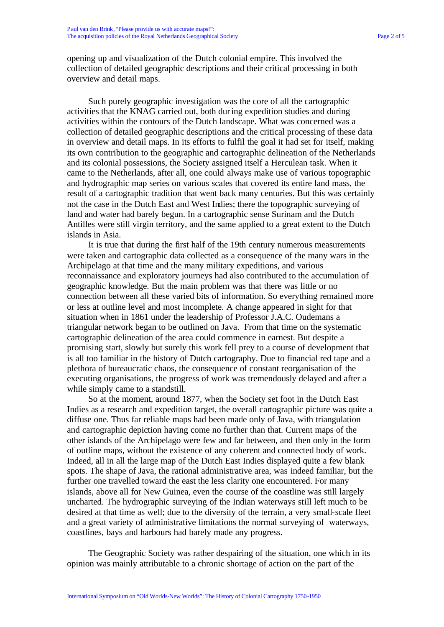opening up and visualization of the Dutch colonial empire. This involved the collection of detailed geographic descriptions and their critical processing in both overview and detail maps.

Such purely geographic investigation was the core of all the cartographic activities that the KNAG carried out, both during expedition studies and during activities within the contours of the Dutch landscape. What was concerned was a collection of detailed geographic descriptions and the critical processing of these data in overview and detail maps. In its efforts to fulfil the goal it had set for itself, making its own contribution to the geographic and cartographic delineation of the Netherlands and its colonial possessions, the Society assigned itself a Herculean task. When it came to the Netherlands, after all, one could always make use of various topographic and hydrographic map series on various scales that covered its entire land mass, the result of a cartographic tradition that went back many centuries. But this was certainly not the case in the Dutch East and West Indies; there the topographic surveying of land and water had barely begun. In a cartographic sense Surinam and the Dutch Antilles were still virgin territory, and the same applied to a great extent to the Dutch islands in Asia.

It is true that during the first half of the 19th century numerous measurements were taken and cartographic data collected as a consequence of the many wars in the Archipelago at that time and the many military expeditions, and various reconnaissance and exploratory journeys had also contributed to the accumulation of geographic knowledge. But the main problem was that there was little or no connection between all these varied bits of information. So everything remained more or less at outline level and most incomplete. A change appeared in sight for that situation when in 1861 under the leadership of Professor J.A.C. Oudemans a triangular network began to be outlined on Java. From that time on the systematic cartographic delineation of the area could commence in earnest. But despite a promising start, slowly but surely this work fell prey to a course of development that is all too familiar in the history of Dutch cartography. Due to financial red tape and a plethora of bureaucratic chaos, the consequence of constant reorganisation of the executing organisations, the progress of work was tremendously delayed and after a while simply came to a standstill.

So at the moment, around 1877, when the Society set foot in the Dutch East Indies as a research and expedition target, the overall cartographic picture was quite a diffuse one. Thus far reliable maps had been made only of Java, with triangulation and cartographic depiction having come no further than that. Current maps of the other islands of the Archipelago were few and far between, and then only in the form of outline maps, without the existence of any coherent and connected body of work. Indeed, all in all the large map of the Dutch East Indies displayed quite a few blank spots. The shape of Java, the rational administrative area, was indeed familiar, but the further one travelled toward the east the less clarity one encountered. For many islands, above all for New Guinea, even the course of the coastline was still largely uncharted. The hydrographic surveying of the Indian waterways still left much to be desired at that time as well; due to the diversity of the terrain, a very small-scale fleet and a great variety of administrative limitations the normal surveying of waterways, coastlines, bays and harbours had barely made any progress.

The Geographic Society was rather despairing of the situation, one which in its opinion was mainly attributable to a chronic shortage of action on the part of the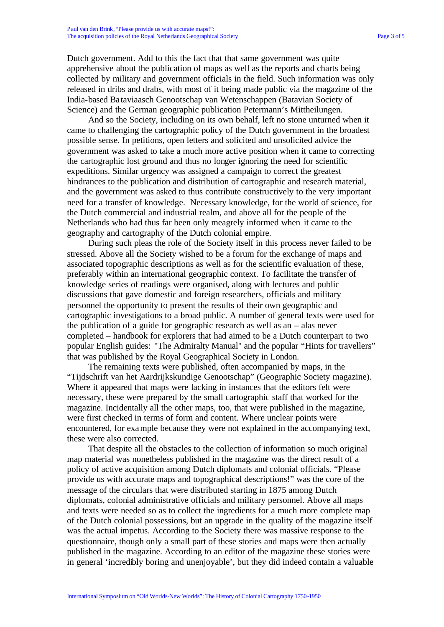Dutch government. Add to this the fact that that same government was quite apprehensive about the publication of maps as well as the reports and charts being collected by military and government officials in the field. Such information was only released in dribs and drabs, with most of it being made public via the magazine of the India-based Bataviaasch Genootschap van Wetenschappen (Batavian Society of Science) and the German geographic publication Petermann's Mittheilungen.

And so the Society, including on its own behalf, left no stone unturned when it came to challenging the cartographic policy of the Dutch government in the broadest possible sense. In petitions, open letters and solicited and unsolicited advice the government was asked to take a much more active position when it came to correcting the cartographic lost ground and thus no longer ignoring the need for scientific expeditions. Similar urgency was assigned a campaign to correct the greatest hindrances to the publication and distribution of cartographic and research material, and the government was asked to thus contribute constructively to the very important need for a transfer of knowledge. Necessary knowledge, for the world of science, for the Dutch commercial and industrial realm, and above all for the people of the Netherlands who had thus far been only meagrely informed when it came to the geography and cartography of the Dutch colonial empire.

During such pleas the role of the Society itself in this process never failed to be stressed. Above all the Society wished to be a forum for the exchange of maps and associated topographic descriptions as well as for the scientific evaluation of these, preferably within an international geographic context. To facilitate the transfer of knowledge series of readings were organised, along with lectures and public discussions that gave domestic and foreign researchers, officials and military personnel the opportunity to present the results of their own geographic and cartographic investigations to a broad public. A number of general texts were used for the publication of a guide for geographic research as well as an – alas never completed – handbook for explorers that had aimed to be a Dutch counterpart to two popular English guides: "The Admiralty Manual" and the popular "Hints for travellers" that was published by the Royal Geographical Society in London.

The remaining texts were published, often accompanied by maps, in the "Tijdschrift van het Aardrijkskundige Genootschap" (Geographic Society magazine). Where it appeared that maps were lacking in instances that the editors felt were necessary, these were prepared by the small cartographic staff that worked for the magazine. Incidentally all the other maps, too, that were published in the magazine, were first checked in terms of form and content. Where unclear points were encountered, for example because they were not explained in the accompanying text, these were also corrected.

That despite all the obstacles to the collection of information so much original map material was nonetheless published in the magazine was the direct result of a policy of active acquisition among Dutch diplomats and colonial officials. "Please provide us with accurate maps and topographical descriptions!" was the core of the message of the circulars that were distributed starting in 1875 among Dutch diplomats, colonial administrative officials and military personnel. Above all maps and texts were needed so as to collect the ingredients for a much more complete map of the Dutch colonial possessions, but an upgrade in the quality of the magazine itself was the actual impetus. According to the Society there was massive response to the questionnaire, though only a small part of these stories and maps were then actually published in the magazine. According to an editor of the magazine these stories were in general 'incredibly boring and unenjoyable', but they did indeed contain a valuable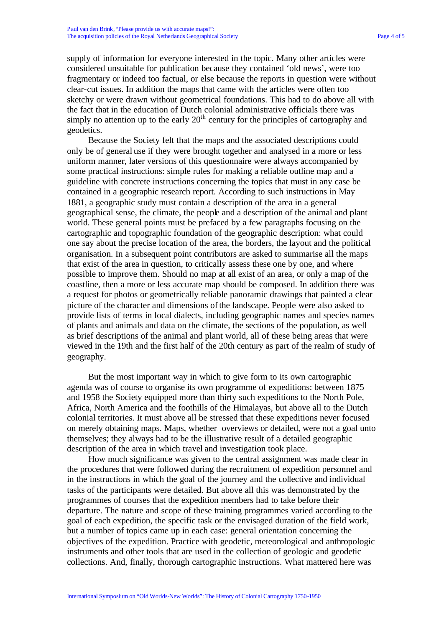supply of information for everyone interested in the topic. Many other articles were considered unsuitable for publication because they contained 'old news', were too fragmentary or indeed too factual, or else because the reports in question were without clear-cut issues. In addition the maps that came with the articles were often too sketchy or were drawn without geometrical foundations. This had to do above all with the fact that in the education of Dutch colonial administrative officials there was simply no attention up to the early  $20<sup>th</sup>$  century for the principles of cartography and geodetics.

Because the Society felt that the maps and the associated descriptions could only be of general use if they were brought together and analysed in a more or less uniform manner, later versions of this questionnaire were always accompanied by some practical instructions: simple rules for making a reliable outline map and a guideline with concrete instructions concerning the topics that must in any case be contained in a geographic research report. According to such instructions in May 1881, a geographic study must contain a description of the area in a general geographical sense, the climate, the people and a description of the animal and plant world. These general points must be prefaced by a few paragraphs focusing on the cartographic and topographic foundation of the geographic description: what could one say about the precise location of the area, the borders, the layout and the political organisation. In a subsequent point contributors are asked to summarise all the maps that exist of the area in question, to critically assess these one by one, and where possible to improve them. Should no map at all exist of an area, or only a map of the coastline, then a more or less accurate map should be composed. In addition there was a request for photos or geometrically reliable panoramic drawings that painted a clear picture of the character and dimensions of the landscape. People were also asked to provide lists of terms in local dialects, including geographic names and species names of plants and animals and data on the climate, the sections of the population, as well as brief descriptions of the animal and plant world, all of these being areas that were viewed in the 19th and the first half of the 20th century as part of the realm of study of geography.

But the most important way in which to give form to its own cartographic agenda was of course to organise its own programme of expeditions: between 1875 and 1958 the Society equipped more than thirty such expeditions to the North Pole, Africa, North America and the foothills of the Himalayas, but above all to the Dutch colonial territories. It must above all be stressed that these expeditions never focused on merely obtaining maps. Maps, whether overviews or detailed, were not a goal unto themselves; they always had to be the illustrative result of a detailed geographic description of the area in which travel and investigation took place.

How much significance was given to the central assignment was made clear in the procedures that were followed during the recruitment of expedition personnel and in the instructions in which the goal of the journey and the collective and individual tasks of the participants were detailed. But above all this was demonstrated by the programmes of courses that the expedition members had to take before their departure. The nature and scope of these training programmes varied according to the goal of each expedition, the specific task or the envisaged duration of the field work, but a number of topics came up in each case: general orientation concerning the objectives of the expedition. Practice with geodetic, meteorological and anthropologic instruments and other tools that are used in the collection of geologic and geodetic collections. And, finally, thorough cartographic instructions. What mattered here was